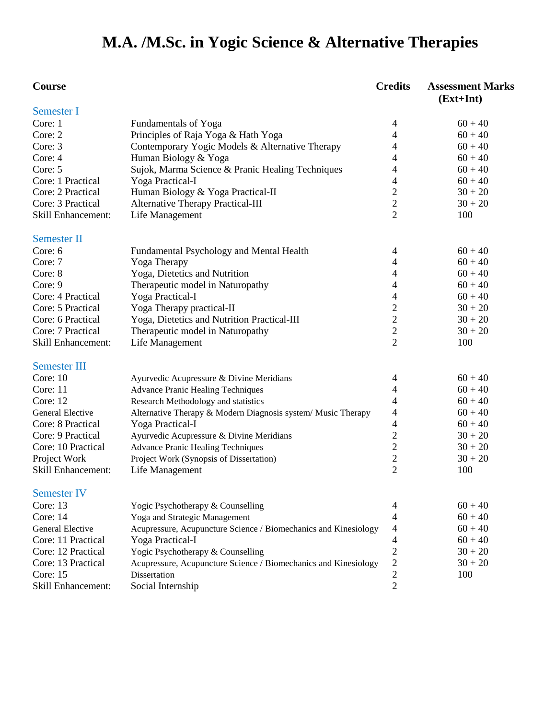# **M.A. /M.Sc. in Yogic Science & Alternative Therapies**

| <b>Semester I</b><br>Core: 1<br>Fundamentals of Yoga<br>$60 + 40$<br>4<br>Principles of Raja Yoga & Hath Yoga<br>Core: 2<br>$\overline{4}$<br>$60 + 40$<br>Core: 3<br>Contemporary Yogic Models & Alternative Therapy<br>4<br>$60 + 40$<br>Human Biology & Yoga<br>4<br>$60 + 40$<br>Core: 4<br>Sujok, Marma Science & Pranic Healing Techniques<br>4<br>$60 + 40$<br>Core: 5<br>Yoga Practical-I<br>4<br>$60 + 40$<br>Core: 1 Practical<br>$\overline{c}$<br>Human Biology & Yoga Practical-II<br>Core: 2 Practical<br>$30 + 20$<br>$\overline{c}$<br>Core: 3 Practical<br>Alternative Therapy Practical-III<br>$30 + 20$<br>$\overline{2}$<br>Life Management<br>100<br><b>Skill Enhancement:</b><br><b>Semester II</b><br>$60 + 40$<br>Core: 6<br>Fundamental Psychology and Mental Health<br>4<br>Yoga Therapy<br>4<br>$60 + 40$<br>Core: 7<br>Yoga, Dietetics and Nutrition<br>Core: 8<br>4<br>$60 + 40$<br>Therapeutic model in Naturopathy<br>$\overline{4}$<br>$60 + 40$<br>Core: 9<br>Yoga Practical-I<br>Core: 4 Practical<br>4<br>$60 + 40$<br>$\overline{c}$<br>Yoga Therapy practical-II<br>Core: 5 Practical<br>$30 + 20$<br>$\overline{2}$<br>Core: 6 Practical<br>Yoga, Dietetics and Nutrition Practical-III<br>$30 + 20$<br>$\overline{2}$<br>Core: 7 Practical<br>Therapeutic model in Naturopathy<br>$30 + 20$<br>$\overline{2}$<br>Life Management<br>100<br><b>Skill Enhancement:</b><br><b>Semester III</b><br>Core: 10<br>$60 + 40$<br>Ayurvedic Acupressure & Divine Meridians<br>4<br>Core: 11<br>$60 + 40$<br><b>Advance Pranic Healing Techniques</b><br>4<br>Core: 12<br>$60 + 40$<br>Research Methodology and statistics<br>4<br>Alternative Therapy & Modern Diagnosis system/ Music Therapy<br>$60 + 40$<br>General Elective<br>4<br>Core: 8 Practical<br>Yoga Practical-I<br>4<br>$60 + 40$<br>$\overline{2}$<br>Core: 9 Practical<br>$30 + 20$<br>Ayurvedic Acupressure & Divine Meridians<br>$\overline{2}$<br>Core: 10 Practical<br><b>Advance Pranic Healing Techniques</b><br>$30 + 20$<br>$\overline{c}$<br>Project Work<br>$30 + 20$<br>Project Work (Synopsis of Dissertation)<br>$\overline{2}$<br>100<br><b>Skill Enhancement:</b><br>Life Management<br><b>Semester IV</b><br>Core: 13<br>$60 + 40$<br>Yogic Psychotherapy & Counselling<br>4<br>Core: 14<br>4<br>$60 + 40$<br>Yoga and Strategic Management<br>4<br>$60 + 40$<br><b>General Elective</b><br>Acupressure, Acupuncture Science / Biomechanics and Kinesiology<br>$\overline{\mathcal{L}}$<br>Core: 11 Practical<br>Yoga Practical-I<br>$60 + 40$<br>$\overline{c}$<br>$30 + 20$<br>Core: 12 Practical<br>Yogic Psychotherapy & Counselling<br>$\overline{c}$<br>Core: 13 Practical<br>$30 + 20$<br>Acupressure, Acupuncture Science / Biomechanics and Kinesiology<br>$\overline{2}$<br>Core: 15<br><b>Dissertation</b><br>100<br>$\overline{2}$<br><b>Skill Enhancement:</b><br>Social Internship | Course | <b>Credits</b> | <b>Assessment Marks</b><br>$(Ext+Int)$ |
|---------------------------------------------------------------------------------------------------------------------------------------------------------------------------------------------------------------------------------------------------------------------------------------------------------------------------------------------------------------------------------------------------------------------------------------------------------------------------------------------------------------------------------------------------------------------------------------------------------------------------------------------------------------------------------------------------------------------------------------------------------------------------------------------------------------------------------------------------------------------------------------------------------------------------------------------------------------------------------------------------------------------------------------------------------------------------------------------------------------------------------------------------------------------------------------------------------------------------------------------------------------------------------------------------------------------------------------------------------------------------------------------------------------------------------------------------------------------------------------------------------------------------------------------------------------------------------------------------------------------------------------------------------------------------------------------------------------------------------------------------------------------------------------------------------------------------------------------------------------------------------------------------------------------------------------------------------------------------------------------------------------------------------------------------------------------------------------------------------------------------------------------------------------------------------------------------------------------------------------------------------------------------------------------------------------------------------------------------------------------------------------------------------------------------------------------------------------------------------------------------------------------------------------------------------------------------------------------------------------------------------------------------------------------------------------------------------------------------------------------------------------------------------------------------------------------------------------------------------------------------------------------------------------|--------|----------------|----------------------------------------|
|                                                                                                                                                                                                                                                                                                                                                                                                                                                                                                                                                                                                                                                                                                                                                                                                                                                                                                                                                                                                                                                                                                                                                                                                                                                                                                                                                                                                                                                                                                                                                                                                                                                                                                                                                                                                                                                                                                                                                                                                                                                                                                                                                                                                                                                                                                                                                                                                                                                                                                                                                                                                                                                                                                                                                                                                                                                                                                               |        |                |                                        |
|                                                                                                                                                                                                                                                                                                                                                                                                                                                                                                                                                                                                                                                                                                                                                                                                                                                                                                                                                                                                                                                                                                                                                                                                                                                                                                                                                                                                                                                                                                                                                                                                                                                                                                                                                                                                                                                                                                                                                                                                                                                                                                                                                                                                                                                                                                                                                                                                                                                                                                                                                                                                                                                                                                                                                                                                                                                                                                               |        |                |                                        |
|                                                                                                                                                                                                                                                                                                                                                                                                                                                                                                                                                                                                                                                                                                                                                                                                                                                                                                                                                                                                                                                                                                                                                                                                                                                                                                                                                                                                                                                                                                                                                                                                                                                                                                                                                                                                                                                                                                                                                                                                                                                                                                                                                                                                                                                                                                                                                                                                                                                                                                                                                                                                                                                                                                                                                                                                                                                                                                               |        |                |                                        |
|                                                                                                                                                                                                                                                                                                                                                                                                                                                                                                                                                                                                                                                                                                                                                                                                                                                                                                                                                                                                                                                                                                                                                                                                                                                                                                                                                                                                                                                                                                                                                                                                                                                                                                                                                                                                                                                                                                                                                                                                                                                                                                                                                                                                                                                                                                                                                                                                                                                                                                                                                                                                                                                                                                                                                                                                                                                                                                               |        |                |                                        |
|                                                                                                                                                                                                                                                                                                                                                                                                                                                                                                                                                                                                                                                                                                                                                                                                                                                                                                                                                                                                                                                                                                                                                                                                                                                                                                                                                                                                                                                                                                                                                                                                                                                                                                                                                                                                                                                                                                                                                                                                                                                                                                                                                                                                                                                                                                                                                                                                                                                                                                                                                                                                                                                                                                                                                                                                                                                                                                               |        |                |                                        |
|                                                                                                                                                                                                                                                                                                                                                                                                                                                                                                                                                                                                                                                                                                                                                                                                                                                                                                                                                                                                                                                                                                                                                                                                                                                                                                                                                                                                                                                                                                                                                                                                                                                                                                                                                                                                                                                                                                                                                                                                                                                                                                                                                                                                                                                                                                                                                                                                                                                                                                                                                                                                                                                                                                                                                                                                                                                                                                               |        |                |                                        |
|                                                                                                                                                                                                                                                                                                                                                                                                                                                                                                                                                                                                                                                                                                                                                                                                                                                                                                                                                                                                                                                                                                                                                                                                                                                                                                                                                                                                                                                                                                                                                                                                                                                                                                                                                                                                                                                                                                                                                                                                                                                                                                                                                                                                                                                                                                                                                                                                                                                                                                                                                                                                                                                                                                                                                                                                                                                                                                               |        |                |                                        |
|                                                                                                                                                                                                                                                                                                                                                                                                                                                                                                                                                                                                                                                                                                                                                                                                                                                                                                                                                                                                                                                                                                                                                                                                                                                                                                                                                                                                                                                                                                                                                                                                                                                                                                                                                                                                                                                                                                                                                                                                                                                                                                                                                                                                                                                                                                                                                                                                                                                                                                                                                                                                                                                                                                                                                                                                                                                                                                               |        |                |                                        |
|                                                                                                                                                                                                                                                                                                                                                                                                                                                                                                                                                                                                                                                                                                                                                                                                                                                                                                                                                                                                                                                                                                                                                                                                                                                                                                                                                                                                                                                                                                                                                                                                                                                                                                                                                                                                                                                                                                                                                                                                                                                                                                                                                                                                                                                                                                                                                                                                                                                                                                                                                                                                                                                                                                                                                                                                                                                                                                               |        |                |                                        |
|                                                                                                                                                                                                                                                                                                                                                                                                                                                                                                                                                                                                                                                                                                                                                                                                                                                                                                                                                                                                                                                                                                                                                                                                                                                                                                                                                                                                                                                                                                                                                                                                                                                                                                                                                                                                                                                                                                                                                                                                                                                                                                                                                                                                                                                                                                                                                                                                                                                                                                                                                                                                                                                                                                                                                                                                                                                                                                               |        |                |                                        |
|                                                                                                                                                                                                                                                                                                                                                                                                                                                                                                                                                                                                                                                                                                                                                                                                                                                                                                                                                                                                                                                                                                                                                                                                                                                                                                                                                                                                                                                                                                                                                                                                                                                                                                                                                                                                                                                                                                                                                                                                                                                                                                                                                                                                                                                                                                                                                                                                                                                                                                                                                                                                                                                                                                                                                                                                                                                                                                               |        |                |                                        |
|                                                                                                                                                                                                                                                                                                                                                                                                                                                                                                                                                                                                                                                                                                                                                                                                                                                                                                                                                                                                                                                                                                                                                                                                                                                                                                                                                                                                                                                                                                                                                                                                                                                                                                                                                                                                                                                                                                                                                                                                                                                                                                                                                                                                                                                                                                                                                                                                                                                                                                                                                                                                                                                                                                                                                                                                                                                                                                               |        |                |                                        |
|                                                                                                                                                                                                                                                                                                                                                                                                                                                                                                                                                                                                                                                                                                                                                                                                                                                                                                                                                                                                                                                                                                                                                                                                                                                                                                                                                                                                                                                                                                                                                                                                                                                                                                                                                                                                                                                                                                                                                                                                                                                                                                                                                                                                                                                                                                                                                                                                                                                                                                                                                                                                                                                                                                                                                                                                                                                                                                               |        |                |                                        |
|                                                                                                                                                                                                                                                                                                                                                                                                                                                                                                                                                                                                                                                                                                                                                                                                                                                                                                                                                                                                                                                                                                                                                                                                                                                                                                                                                                                                                                                                                                                                                                                                                                                                                                                                                                                                                                                                                                                                                                                                                                                                                                                                                                                                                                                                                                                                                                                                                                                                                                                                                                                                                                                                                                                                                                                                                                                                                                               |        |                |                                        |
|                                                                                                                                                                                                                                                                                                                                                                                                                                                                                                                                                                                                                                                                                                                                                                                                                                                                                                                                                                                                                                                                                                                                                                                                                                                                                                                                                                                                                                                                                                                                                                                                                                                                                                                                                                                                                                                                                                                                                                                                                                                                                                                                                                                                                                                                                                                                                                                                                                                                                                                                                                                                                                                                                                                                                                                                                                                                                                               |        |                |                                        |
|                                                                                                                                                                                                                                                                                                                                                                                                                                                                                                                                                                                                                                                                                                                                                                                                                                                                                                                                                                                                                                                                                                                                                                                                                                                                                                                                                                                                                                                                                                                                                                                                                                                                                                                                                                                                                                                                                                                                                                                                                                                                                                                                                                                                                                                                                                                                                                                                                                                                                                                                                                                                                                                                                                                                                                                                                                                                                                               |        |                |                                        |
|                                                                                                                                                                                                                                                                                                                                                                                                                                                                                                                                                                                                                                                                                                                                                                                                                                                                                                                                                                                                                                                                                                                                                                                                                                                                                                                                                                                                                                                                                                                                                                                                                                                                                                                                                                                                                                                                                                                                                                                                                                                                                                                                                                                                                                                                                                                                                                                                                                                                                                                                                                                                                                                                                                                                                                                                                                                                                                               |        |                |                                        |
|                                                                                                                                                                                                                                                                                                                                                                                                                                                                                                                                                                                                                                                                                                                                                                                                                                                                                                                                                                                                                                                                                                                                                                                                                                                                                                                                                                                                                                                                                                                                                                                                                                                                                                                                                                                                                                                                                                                                                                                                                                                                                                                                                                                                                                                                                                                                                                                                                                                                                                                                                                                                                                                                                                                                                                                                                                                                                                               |        |                |                                        |
|                                                                                                                                                                                                                                                                                                                                                                                                                                                                                                                                                                                                                                                                                                                                                                                                                                                                                                                                                                                                                                                                                                                                                                                                                                                                                                                                                                                                                                                                                                                                                                                                                                                                                                                                                                                                                                                                                                                                                                                                                                                                                                                                                                                                                                                                                                                                                                                                                                                                                                                                                                                                                                                                                                                                                                                                                                                                                                               |        |                |                                        |
|                                                                                                                                                                                                                                                                                                                                                                                                                                                                                                                                                                                                                                                                                                                                                                                                                                                                                                                                                                                                                                                                                                                                                                                                                                                                                                                                                                                                                                                                                                                                                                                                                                                                                                                                                                                                                                                                                                                                                                                                                                                                                                                                                                                                                                                                                                                                                                                                                                                                                                                                                                                                                                                                                                                                                                                                                                                                                                               |        |                |                                        |
|                                                                                                                                                                                                                                                                                                                                                                                                                                                                                                                                                                                                                                                                                                                                                                                                                                                                                                                                                                                                                                                                                                                                                                                                                                                                                                                                                                                                                                                                                                                                                                                                                                                                                                                                                                                                                                                                                                                                                                                                                                                                                                                                                                                                                                                                                                                                                                                                                                                                                                                                                                                                                                                                                                                                                                                                                                                                                                               |        |                |                                        |
|                                                                                                                                                                                                                                                                                                                                                                                                                                                                                                                                                                                                                                                                                                                                                                                                                                                                                                                                                                                                                                                                                                                                                                                                                                                                                                                                                                                                                                                                                                                                                                                                                                                                                                                                                                                                                                                                                                                                                                                                                                                                                                                                                                                                                                                                                                                                                                                                                                                                                                                                                                                                                                                                                                                                                                                                                                                                                                               |        |                |                                        |
|                                                                                                                                                                                                                                                                                                                                                                                                                                                                                                                                                                                                                                                                                                                                                                                                                                                                                                                                                                                                                                                                                                                                                                                                                                                                                                                                                                                                                                                                                                                                                                                                                                                                                                                                                                                                                                                                                                                                                                                                                                                                                                                                                                                                                                                                                                                                                                                                                                                                                                                                                                                                                                                                                                                                                                                                                                                                                                               |        |                |                                        |
|                                                                                                                                                                                                                                                                                                                                                                                                                                                                                                                                                                                                                                                                                                                                                                                                                                                                                                                                                                                                                                                                                                                                                                                                                                                                                                                                                                                                                                                                                                                                                                                                                                                                                                                                                                                                                                                                                                                                                                                                                                                                                                                                                                                                                                                                                                                                                                                                                                                                                                                                                                                                                                                                                                                                                                                                                                                                                                               |        |                |                                        |
|                                                                                                                                                                                                                                                                                                                                                                                                                                                                                                                                                                                                                                                                                                                                                                                                                                                                                                                                                                                                                                                                                                                                                                                                                                                                                                                                                                                                                                                                                                                                                                                                                                                                                                                                                                                                                                                                                                                                                                                                                                                                                                                                                                                                                                                                                                                                                                                                                                                                                                                                                                                                                                                                                                                                                                                                                                                                                                               |        |                |                                        |
|                                                                                                                                                                                                                                                                                                                                                                                                                                                                                                                                                                                                                                                                                                                                                                                                                                                                                                                                                                                                                                                                                                                                                                                                                                                                                                                                                                                                                                                                                                                                                                                                                                                                                                                                                                                                                                                                                                                                                                                                                                                                                                                                                                                                                                                                                                                                                                                                                                                                                                                                                                                                                                                                                                                                                                                                                                                                                                               |        |                |                                        |
|                                                                                                                                                                                                                                                                                                                                                                                                                                                                                                                                                                                                                                                                                                                                                                                                                                                                                                                                                                                                                                                                                                                                                                                                                                                                                                                                                                                                                                                                                                                                                                                                                                                                                                                                                                                                                                                                                                                                                                                                                                                                                                                                                                                                                                                                                                                                                                                                                                                                                                                                                                                                                                                                                                                                                                                                                                                                                                               |        |                |                                        |
|                                                                                                                                                                                                                                                                                                                                                                                                                                                                                                                                                                                                                                                                                                                                                                                                                                                                                                                                                                                                                                                                                                                                                                                                                                                                                                                                                                                                                                                                                                                                                                                                                                                                                                                                                                                                                                                                                                                                                                                                                                                                                                                                                                                                                                                                                                                                                                                                                                                                                                                                                                                                                                                                                                                                                                                                                                                                                                               |        |                |                                        |
|                                                                                                                                                                                                                                                                                                                                                                                                                                                                                                                                                                                                                                                                                                                                                                                                                                                                                                                                                                                                                                                                                                                                                                                                                                                                                                                                                                                                                                                                                                                                                                                                                                                                                                                                                                                                                                                                                                                                                                                                                                                                                                                                                                                                                                                                                                                                                                                                                                                                                                                                                                                                                                                                                                                                                                                                                                                                                                               |        |                |                                        |
|                                                                                                                                                                                                                                                                                                                                                                                                                                                                                                                                                                                                                                                                                                                                                                                                                                                                                                                                                                                                                                                                                                                                                                                                                                                                                                                                                                                                                                                                                                                                                                                                                                                                                                                                                                                                                                                                                                                                                                                                                                                                                                                                                                                                                                                                                                                                                                                                                                                                                                                                                                                                                                                                                                                                                                                                                                                                                                               |        |                |                                        |
|                                                                                                                                                                                                                                                                                                                                                                                                                                                                                                                                                                                                                                                                                                                                                                                                                                                                                                                                                                                                                                                                                                                                                                                                                                                                                                                                                                                                                                                                                                                                                                                                                                                                                                                                                                                                                                                                                                                                                                                                                                                                                                                                                                                                                                                                                                                                                                                                                                                                                                                                                                                                                                                                                                                                                                                                                                                                                                               |        |                |                                        |
|                                                                                                                                                                                                                                                                                                                                                                                                                                                                                                                                                                                                                                                                                                                                                                                                                                                                                                                                                                                                                                                                                                                                                                                                                                                                                                                                                                                                                                                                                                                                                                                                                                                                                                                                                                                                                                                                                                                                                                                                                                                                                                                                                                                                                                                                                                                                                                                                                                                                                                                                                                                                                                                                                                                                                                                                                                                                                                               |        |                |                                        |
|                                                                                                                                                                                                                                                                                                                                                                                                                                                                                                                                                                                                                                                                                                                                                                                                                                                                                                                                                                                                                                                                                                                                                                                                                                                                                                                                                                                                                                                                                                                                                                                                                                                                                                                                                                                                                                                                                                                                                                                                                                                                                                                                                                                                                                                                                                                                                                                                                                                                                                                                                                                                                                                                                                                                                                                                                                                                                                               |        |                |                                        |
|                                                                                                                                                                                                                                                                                                                                                                                                                                                                                                                                                                                                                                                                                                                                                                                                                                                                                                                                                                                                                                                                                                                                                                                                                                                                                                                                                                                                                                                                                                                                                                                                                                                                                                                                                                                                                                                                                                                                                                                                                                                                                                                                                                                                                                                                                                                                                                                                                                                                                                                                                                                                                                                                                                                                                                                                                                                                                                               |        |                |                                        |
|                                                                                                                                                                                                                                                                                                                                                                                                                                                                                                                                                                                                                                                                                                                                                                                                                                                                                                                                                                                                                                                                                                                                                                                                                                                                                                                                                                                                                                                                                                                                                                                                                                                                                                                                                                                                                                                                                                                                                                                                                                                                                                                                                                                                                                                                                                                                                                                                                                                                                                                                                                                                                                                                                                                                                                                                                                                                                                               |        |                |                                        |
|                                                                                                                                                                                                                                                                                                                                                                                                                                                                                                                                                                                                                                                                                                                                                                                                                                                                                                                                                                                                                                                                                                                                                                                                                                                                                                                                                                                                                                                                                                                                                                                                                                                                                                                                                                                                                                                                                                                                                                                                                                                                                                                                                                                                                                                                                                                                                                                                                                                                                                                                                                                                                                                                                                                                                                                                                                                                                                               |        |                |                                        |
|                                                                                                                                                                                                                                                                                                                                                                                                                                                                                                                                                                                                                                                                                                                                                                                                                                                                                                                                                                                                                                                                                                                                                                                                                                                                                                                                                                                                                                                                                                                                                                                                                                                                                                                                                                                                                                                                                                                                                                                                                                                                                                                                                                                                                                                                                                                                                                                                                                                                                                                                                                                                                                                                                                                                                                                                                                                                                                               |        |                |                                        |
|                                                                                                                                                                                                                                                                                                                                                                                                                                                                                                                                                                                                                                                                                                                                                                                                                                                                                                                                                                                                                                                                                                                                                                                                                                                                                                                                                                                                                                                                                                                                                                                                                                                                                                                                                                                                                                                                                                                                                                                                                                                                                                                                                                                                                                                                                                                                                                                                                                                                                                                                                                                                                                                                                                                                                                                                                                                                                                               |        |                |                                        |
|                                                                                                                                                                                                                                                                                                                                                                                                                                                                                                                                                                                                                                                                                                                                                                                                                                                                                                                                                                                                                                                                                                                                                                                                                                                                                                                                                                                                                                                                                                                                                                                                                                                                                                                                                                                                                                                                                                                                                                                                                                                                                                                                                                                                                                                                                                                                                                                                                                                                                                                                                                                                                                                                                                                                                                                                                                                                                                               |        |                |                                        |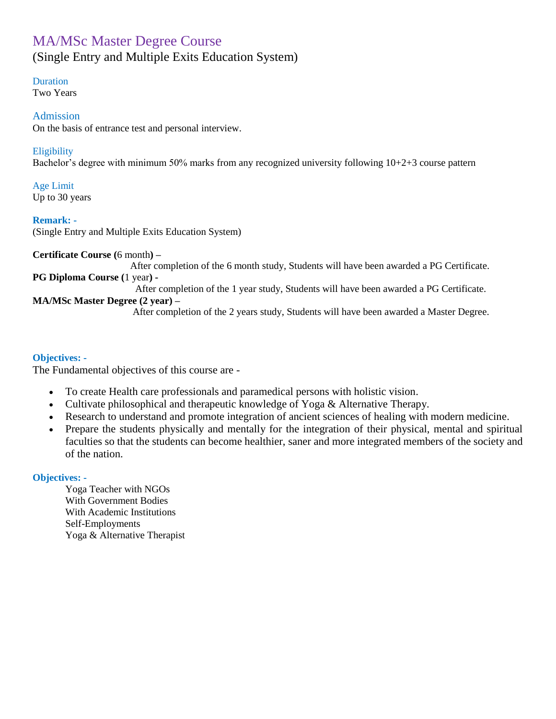## MA/MSc Master Degree Course (Single Entry and Multiple Exits Education System)

### Duration

Two Years

### Admission

On the basis of entrance test and personal interview.

### **Eligibility**

Bachelor's degree with minimum 50% marks from any recognized university following 10+2+3 course pattern

Age Limit Up to 30 years

### **Remark: -**

(Single Entry and Multiple Exits Education System)

**Certificate Course (**6 month**) –**

 After completion of the 6 month study, Students will have been awarded a PG Certificate. **PG Diploma Course (**1 year**) -**

After completion of the 1 year study, Students will have been awarded a PG Certificate.

### **MA/MSc Master Degree (2 year) –**

After completion of the 2 years study, Students will have been awarded a Master Degree.

### **Objectives: -**

The Fundamental objectives of this course are -

- To create Health care professionals and paramedical persons with holistic vision.
- Cultivate philosophical and therapeutic knowledge of Yoga & Alternative Therapy.
- Research to understand and promote integration of ancient sciences of healing with modern medicine.
- Prepare the students physically and mentally for the integration of their physical, mental and spiritual faculties so that the students can become healthier, saner and more integrated members of the society and of the nation.

### **Objectives: -**

Yoga Teacher with NGOs With Government Bodies With Academic Institutions Self-Employments Yoga & Alternative Therapist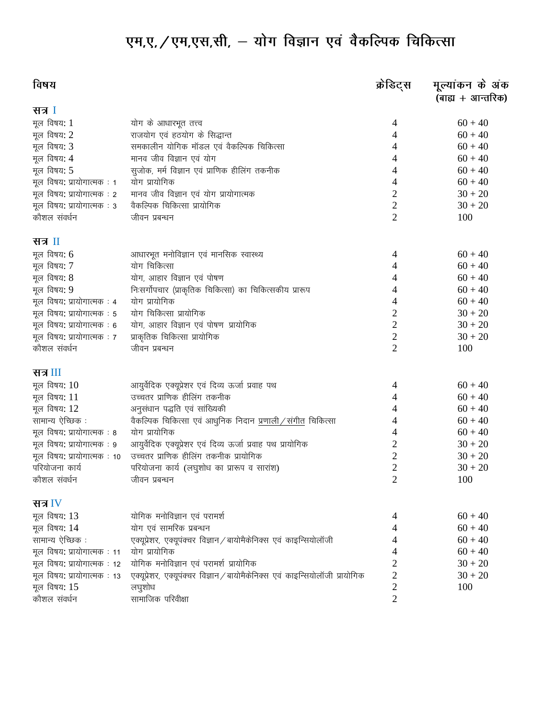# एम,ए, / एम,एस,सी, - योग विज्ञान एवं वैकल्पिक चिकित्सा

| विषय                        |                                                                            | क्रेडिट्स      | मूल्यांकन के अंक<br>(बाह्य + आन्तरिक) |
|-----------------------------|----------------------------------------------------------------------------|----------------|---------------------------------------|
| सत्र I                      |                                                                            |                |                                       |
| मूल विषय: 1                 | योग के आधारभूत तत्त्व                                                      | 4              | $60 + 40$                             |
| मूल विषय: 2                 | राजयोग एवं हठयोग के सिद्धान्त                                              | 4              | $60 + 40$                             |
| मूल विषय: 3                 | समकालीन योगिक मॉडल एवं वैकल्पिक चिकित्सा                                   | 4              | $60 + 40$                             |
| मूल विषय: 4                 | मानव जीव विज्ञान एवं योग                                                   | 4              | $60 + 40$                             |
| मूल विषय: 5                 | सुजोक, मर्म विज्ञान एवं प्राणिक हीलिंग तकनीक                               | 4              | $60 + 40$                             |
| मूल विषय: प्रायोगात्मक: 1   | योग प्रायोगिक                                                              | 4              | $60 + 40$                             |
| मूल विषय: प्रायोगात्मक : 2  | मानव जीव विज्ञान एवं योग प्रायोगात्मक                                      | 2              | $30 + 20$                             |
| मूल विषय: प्रायोगात्मक : 3  | वैकल्पिक चिकित्सा प्रायोगिक                                                | 2              | $30 + 20$                             |
| कौशल संवर्धन                | जीवन प्रबन्धन                                                              | $\overline{2}$ | 100                                   |
| सत्र II                     |                                                                            |                |                                       |
| मूल विषय: 6                 | आधारभूत मनोविज्ञान एवं मानसिक स्वास्थ्य                                    | 4              | $60 + 40$                             |
| मूल विषय: 7                 | योग चिकित्सा                                                               | 4              | $60 + 40$                             |
| मूल विषय: 8                 | योग, आहार विज्ञान एवं पोषण                                                 | 4              | $60 + 40$                             |
| मूल विषय: 9                 | निःसर्गोपचार (प्राकृतिक चिकित्सा) का चिकित्सकीय प्रारूप                    | 4              | $60 + 40$                             |
| मूल विषय: प्रायोगात्मक : 4  | योग प्रायोगिक                                                              | 4              | $60 + 40$                             |
| मूल विषय: प्रायोगात्मक: 5   | योग चिकित्सा प्रायोगिक                                                     | $\overline{c}$ | $30 + 20$                             |
| मूल विषय: प्रायोगात्मक : 6  | योग, आहार विज्ञान एवं पोषण प्रायोगिक                                       | $\overline{2}$ | $30 + 20$                             |
| मूल विषय: प्रायोगात्मक: 7   | प्राकृतिक चिकित्सा प्रायोगिक                                               | $\overline{2}$ | $30 + 20$                             |
| कौशल संवर्धन                | जीवन प्रबन्धन                                                              | $\overline{2}$ | 100                                   |
| सत्र III                    |                                                                            |                |                                       |
| मूल विषय: $10$              | आयुर्वेदिक एक्यूप्रेशर एवं दिव्य ऊर्जा प्रवाह पथ                           | 4              | $60 + 40$                             |
| मूल विषय: 11                | उच्चतर प्राणिक हीलिंग तकनीक                                                | 4              | $60 + 40$                             |
| मूल विषय: 12                | अनुसंधान पद्धति एवं सांख्यिकी                                              | 4              | $60 + 40$                             |
| सामान्य ऐच्छिक :            | वैकल्पिक चिकित्सा एवं आधुनिक निदान <u>प्रणाली / संगीत</u> चिकित्सा         | 4              | $60 + 40$                             |
| मूल विषय: प्रायोगात्मक: 8   | योग प्रायोगिक                                                              | 4              | $60 + 40$                             |
| मूल विषय: प्रायोगात्मक: 9   | आयुर्वेदिक एक्यूप्रेशर एवं दिव्य ऊर्जा प्रवाह पथ प्रायोगिक                 | $\overline{c}$ | $30 + 20$                             |
| मूल विषय: प्रायोगात्मक : 10 | उच्चतर प्राणिक हीलिंग तकनीक प्रायोगिक                                      | $\overline{c}$ | $30 + 20$                             |
| परियोजना कार्य              | परियोजना कार्य (लघुशोध का प्रारूप व सारांश)                                | $\overline{c}$ | $30 + 20$                             |
| कौशल संवर्धन                | जीवन प्रबन्धन                                                              | $\overline{2}$ | 100                                   |
| सत्र $IV$                   |                                                                            |                |                                       |
| मूल विषय: 13                | योगिक मनोविज्ञान एवं परामर्श                                               | 4              | $60 + 40$                             |
| मूल विषय: 14                | योग एवं सामरिक प्रबन्धन                                                    | 4              | $60 + 40$                             |
| सामान्य ऐच्छिक :            | एक्यूप्रेशर, एक्यूपंक्चर विज्ञान / बायोमैकेनिक्स एवं काइन्सियोलॉजी         | 4              | $60 + 40$                             |
| मूल विषय: प्रायोगात्मक: 11  | योग प्रायोगिक                                                              | 4              | $60 + 40$                             |
| मूल विषय: प्रायोगात्मक: 12  | योगिक मनोविज्ञान एवं परामर्श प्रायोगिक                                     | 2              | $30 + 20$                             |
| मूल विषय: प्रायोगात्मक: 13  | एक्यूप्रेशर, एक्यूपंक्चर विज्ञान/बायोमैकेनिक्स एवं काइन्सियोलॉजी प्रायोगिक | $\overline{c}$ | $30 + 20$                             |
| मूल विषय: 15                | लघुशोध                                                                     | $\overline{2}$ | 100                                   |
| कौशल संवर्धन                | सामाजिक परिवीक्षा                                                          | $\overline{2}$ |                                       |